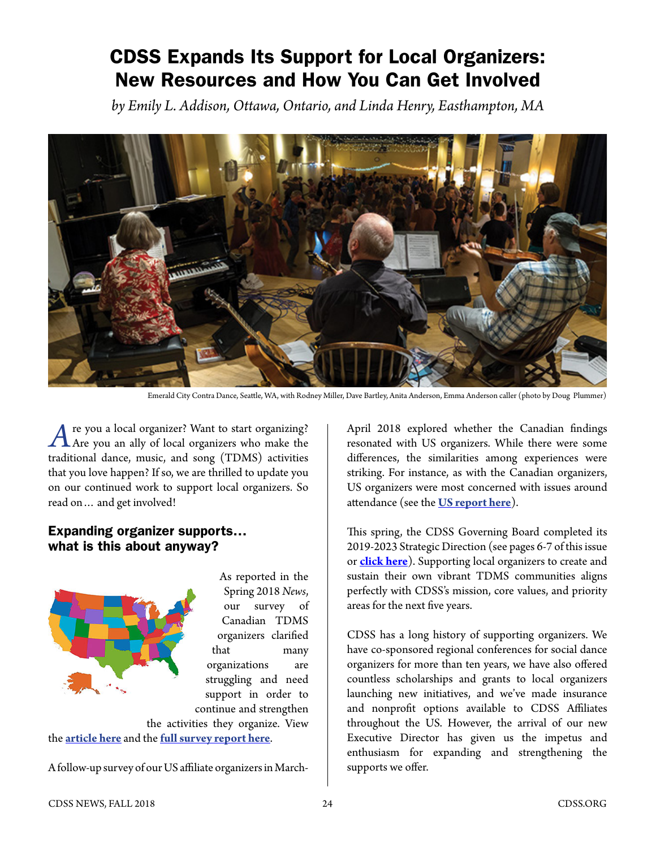# CDSS Expands Its Support for Local Organizers: New Resources and How You Can Get Involved

*by Emily L. Addison, Ottawa, Ontario, and Linda Henry, Easthampton, MA*



Emerald City Contra Dance, Seattle, WA, with Rodney Miller, Dave Bartley, Anita Anderson, Emma Anderson caller (photo by Doug Plummer)

re you a local organizer? Want to start organizing?  $\Lambda$  Are you an ally of local organizers who make the traditional dance, music, and song (TDMS) activities that you love happen? If so, we are thrilled to update you on our continued work to support local organizers. So read on… and get involved!

## Expanding organizer supports… what is this about anyway?

As reported in the Spring 2018 *News*, our survey of Canadian TDMS organizers clarified that many organizations are struggling and need support in order to continue and strengthen

the activities they organize. View the **[article here](https://www.cdss.org/images/newsletter_archives/columns/CDSS_News_Spring_2018_News_from_Canada_TDMS_Survey.pdf)** and the **[full survey report here](https://www.cdss.org/community/cn-survey)**.

A follow-up survey of our US affiliate organizers in March-

April 2018 explored whether the Canadian findings resonated with US organizers. While there were some differences, the similarities among experiences were striking. For instance, as with the Canadian organizers, US organizers were most concerned with issues around attendance (see the **[US report here](https://www.cdss.org/community/us-organizers-survey)**).

This spring, the CDSS Governing Board completed its 2019-2023 Strategic Direction (see pages 6-7 of this issue or **click here**). Supporting local organizers to create and sustain their own vibrant TDMS communities aligns perfectly with CDSS's mission, core values, and priority areas for the next five years.

CDSS has a long history of supporting organizers. We have co-sponsored regional conferences for social dance organizers for more than ten years, we have also offered countless scholarships and grants to local organizers launching new initiatives, and we've made insurance and nonprofit options available to CDSS Affiliates throughout the US. However, the arrival of our new Executive Director has given us the impetus and enthusiasm for expanding and strengthening the supports we offer.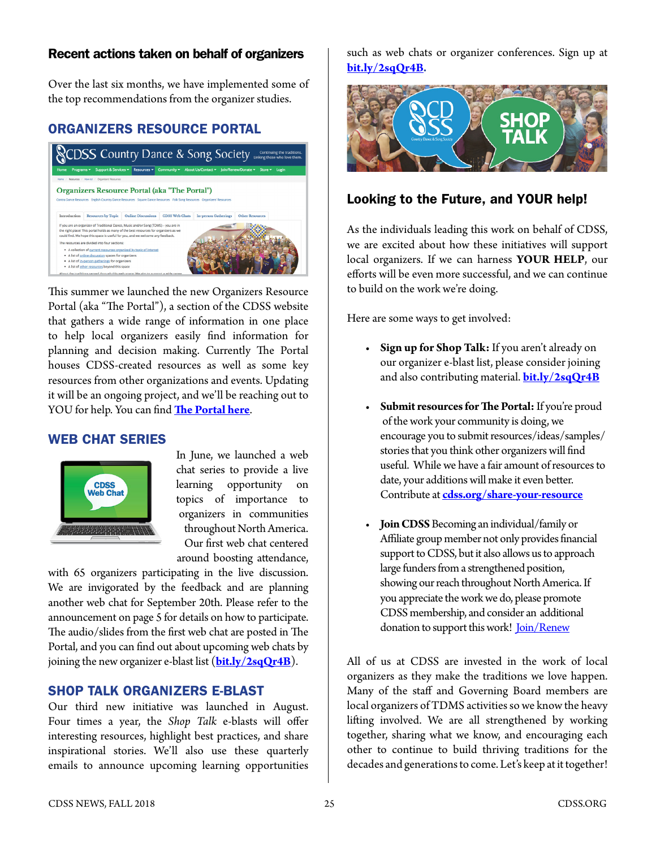#### Recent actions taken on behalf of organizers

Over the last six months, we have implemented some of the top recommendations from the organizer studies.

## ORGANIZERS RESOURCE PORTAL



This summer we launched the new Organizers Resource Portal (aka "The Portal"), a section of the CDSS website that gathers a wide range of information in one place to help local organizers easily find information for planning and decision making. Currently The Portal houses CDSS-created resources as well as some key resources from other organizations and events. Updating it will be an ongoing project, and we'll be reaching out to YOU for help. You can find **[The Portal here](https://www.cdss.org/resources/how-to/organizers-resources)**.

#### WEB CHAT SERIES



In June, we launched a web chat series to provide a live learning opportunity on topics of importance to organizers in communities throughout North America. Our first web chat centered around boosting attendance,

with 65 organizers participating in the live discussion. We are invigorated by the feedback and are planning another web chat for September 20th. Please refer to the announcement on page 5 for details on how to participate. The audio/slides from the first web chat are posted in The Portal, and you can find out about upcoming web chats by joining the new organizer e-blast list (**[bit.ly/2sqQr4B](https://bit.ly/2sqQr4B)**).

### SHOP TALK ORGANIZERS E-BLAST

Our third new initiative was launched in August. Four times a year, the *Shop Talk* e-blasts will offer interesting resources, highlight best practices, and share inspirational stories. We'll also use these quarterly emails to announce upcoming learning opportunities

such as web chats or organizer conferences. Sign up at **[bit.ly/2sqQr4B](https://bit.ly/2sqQr4B).**



### Looking to the Future, and YOUR help!

As the individuals leading this work on behalf of CDSS, we are excited about how these initiatives will support local organizers. If we can harness **YOUR HELP**, our efforts will be even more successful, and we can continue to build on the work we're doing.

Here are some ways to get involved:

- **Sign up for Shop Talk:** If you aren't already on our organizer e-blast list, please consider joining and also contributing material. **[bit.ly/2sqQr4B](http://bit.ly/2sqQr4B)**
- **Submit resources for The Portal:** If you're proud of the work your community is doing, we encourage you to submit resources/ideas/samples/ stories that you think other organizers will find useful. While we have a fair amount of resources to date, your additions will make it even better. Contribute at **[cdss.org/share-your-resource](http://cdss.org/share-your-resource)**
- **Join CDSS** Becoming an individual/family or Affiliate group member not only provides financial support to CDSS, but it also allows us to approach large funders from a strengthened position, showing our reach throughout North America. If you appreciate the work we do, please promote CDSS membership, and consider an additional donation to support this work! [Join/Renew](http://www.cdss.org/join-renew)

All of us at CDSS are invested in the work of local organizers as they make the traditions we love happen. Many of the staff and Governing Board members are local organizers of TDMS activities so we know the heavy lifting involved. We are all strengthened by working together, sharing what we know, and encouraging each other to continue to build thriving traditions for the decades and generations to come. Let's keep at it together!